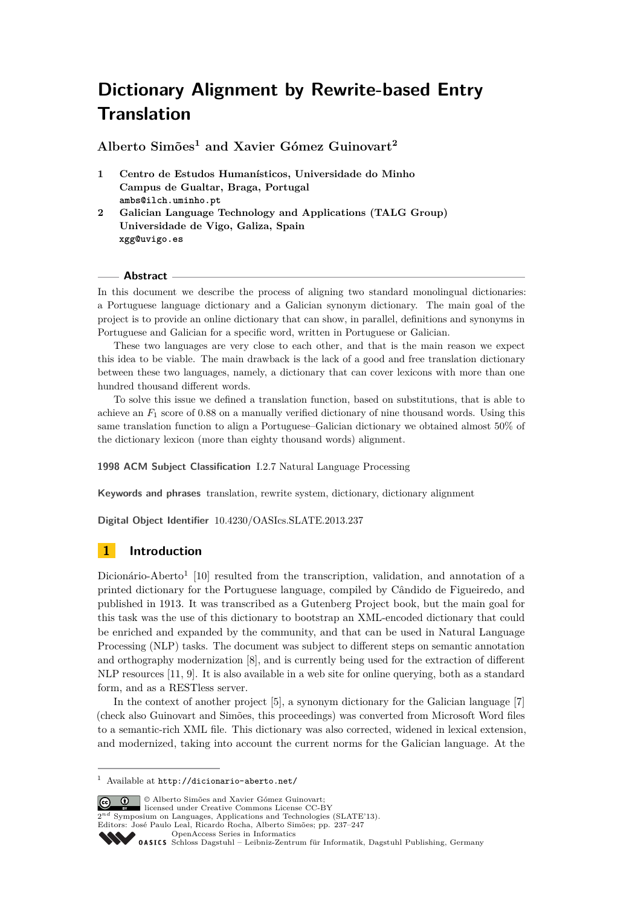# **Dictionary Alignment by Rewrite-based Entry Translation**

**Alberto Simões<sup>1</sup> and Xavier Gómez Guinovart<sup>2</sup>**

- **1 Centro de Estudos Humanísticos, Universidade do Minho Campus de Gualtar, Braga, Portugal ambs@ilch.uminho.pt**
- **2 Galician Language Technology and Applications (TALG Group) Universidade de Vigo, Galiza, Spain xgg@uvigo.es**

#### **Abstract**

In this document we describe the process of aligning two standard monolingual dictionaries: a Portuguese language dictionary and a Galician synonym dictionary. The main goal of the project is to provide an online dictionary that can show, in parallel, definitions and synonyms in Portuguese and Galician for a specific word, written in Portuguese or Galician.

These two languages are very close to each other, and that is the main reason we expect this idea to be viable. The main drawback is the lack of a good and free translation dictionary between these two languages, namely, a dictionary that can cover lexicons with more than one hundred thousand different words.

To solve this issue we defined a translation function, based on substitutions, that is able to achieve an  $F_1$  score of 0.88 on a manually verified dictionary of nine thousand words. Using this same translation function to align a Portuguese–Galician dictionary we obtained almost 50% of the dictionary lexicon (more than eighty thousand words) alignment.

**1998 ACM Subject Classification** I.2.7 Natural Language Processing

**Keywords and phrases** translation, rewrite system, dictionary, dictionary alignment

**Digital Object Identifier** [10.4230/OASIcs.SLATE.2013.237](http://dx.doi.org/10.4230/OASIcs.SLATE.2013.237)

# **1 Introduction**

Dicionário-Aberto<sup>[1](#page-0-0)</sup> [\[10\]](#page-10-0) resulted from the transcription, validation, and annotation of a printed dictionary for the Portuguese language, compiled by Cândido de Figueiredo, and published in 1913. It was transcribed as a Gutenberg Project book, but the main goal for this task was the use of this dictionary to bootstrap an XML-encoded dictionary that could be enriched and expanded by the community, and that can be used in Natural Language Processing (NLP) tasks. The document was subject to different steps on semantic annotation and orthography modernization [\[8\]](#page-10-1), and is currently being used for the extraction of different NLP resources [\[11,](#page-10-2) [9\]](#page-10-3). It is also available in a web site for online querying, both as a standard form, and as a RESTless server.

In the context of another project [\[5\]](#page-10-4), a synonym dictionary for the Galician language [\[7\]](#page-10-5) (check also Guinovart and Simões, this proceedings) was converted from Microsoft Word files to a semantic-rich XML file. This dictionary was also corrected, widened in lexical extension, and modernized, taking into account the current norms for the Galician language. At the

© Alberto Simões and Xavier Gómez Guinovart; licensed under Creative Commons License CC-BY

 $2^{nd}$  Symposium on Languages, Applications and Technologies (SLATE'13).

Editors: José Paulo Leal, Ricardo Rocha, Alberto Simões; pp. 237[–247](#page-10-6)

[OpenAccess Series in Informatics](http://www.dagstuhl.de/oasics/)

<span id="page-0-0"></span><sup>1</sup> Available at <http://dicionario-aberto.net/>

[Schloss Dagstuhl – Leibniz-Zentrum für Informatik, Dagstuhl Publishing, Germany](http://www.dagstuhl.de/)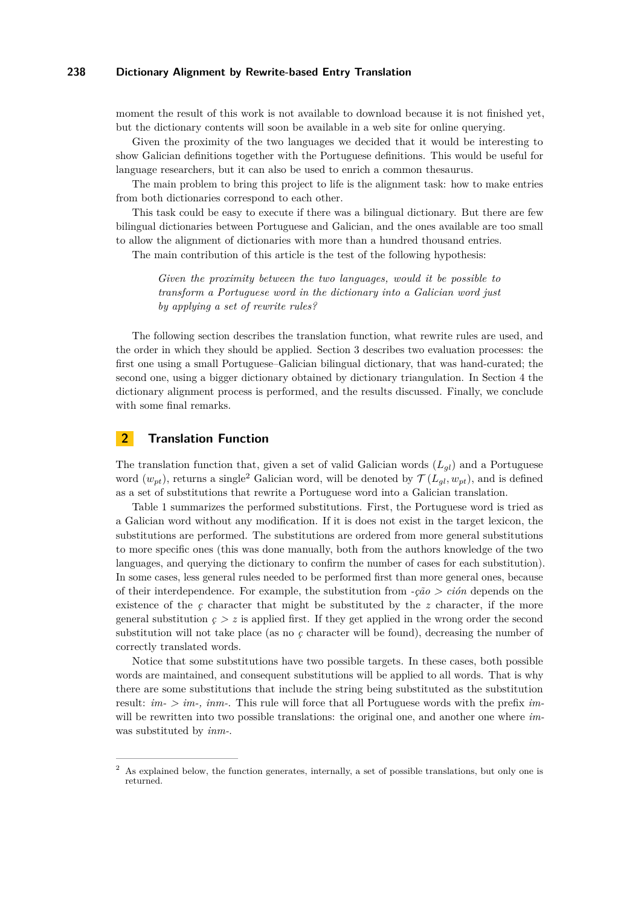#### **238 Dictionary Alignment by Rewrite-based Entry Translation**

moment the result of this work is not available to download because it is not finished yet, but the dictionary contents will soon be available in a web site for online querying.

Given the proximity of the two languages we decided that it would be interesting to show Galician definitions together with the Portuguese definitions. This would be useful for language researchers, but it can also be used to enrich a common thesaurus.

The main problem to bring this project to life is the alignment task: how to make entries from both dictionaries correspond to each other.

This task could be easy to execute if there was a bilingual dictionary. But there are few bilingual dictionaries between Portuguese and Galician, and the ones available are too small to allow the alignment of dictionaries with more than a hundred thousand entries.

The main contribution of this article is the test of the following hypothesis:

*Given the proximity between the two languages, would it be possible to transform a Portuguese word in the dictionary into a Galician word just by applying a set of rewrite rules?*

The following section describes the translation function, what rewrite rules are used, and the order in which they should be applied. Section [3](#page-2-0) describes two evaluation processes: the first one using a small Portuguese–Galician bilingual dictionary, that was hand-curated; the second one, using a bigger dictionary obtained by dictionary triangulation. In Section [4](#page-6-0) the dictionary alignment process is performed, and the results discussed. Finally, we conclude with some final remarks.

## **2 Translation Function**

The translation function that, given a set of valid Galician words (*Lgl*) and a Portuguese word  $(w_{pt})$ , returns a single<sup>[2](#page-1-0)</sup> Galician word, will be denoted by  $\mathcal{T}(L_{gl}, w_{pt})$ , and is defined as a set of substitutions that rewrite a Portuguese word into a Galician translation.

Table [1](#page-3-0) summarizes the performed substitutions. First, the Portuguese word is tried as a Galician word without any modification. If it is does not exist in the target lexicon, the substitutions are performed. The substitutions are ordered from more general substitutions to more specific ones (this was done manually, both from the authors knowledge of the two languages, and querying the dictionary to confirm the number of cases for each substitution). In some cases, less general rules needed to be performed first than more general ones, because of their interdependence. For example, the substitution from *-ção > ción* depends on the existence of the *ç* character that might be substituted by the *z* character, if the more general substitution  $c > z$  is applied first. If they get applied in the wrong order the second substitution will not take place (as no *ç* character will be found), decreasing the number of correctly translated words.

Notice that some substitutions have two possible targets. In these cases, both possible words are maintained, and consequent substitutions will be applied to all words. That is why there are some substitutions that include the string being substituted as the substitution result: *im- > im-, inm-*. This rule will force that all Portuguese words with the prefix *im*will be rewritten into two possible translations: the original one, and another one where *im*was substituted by *inm-*.

<span id="page-1-0"></span><sup>&</sup>lt;sup>2</sup> As explained below, the function generates, internally, a set of possible translations, but only one is returned.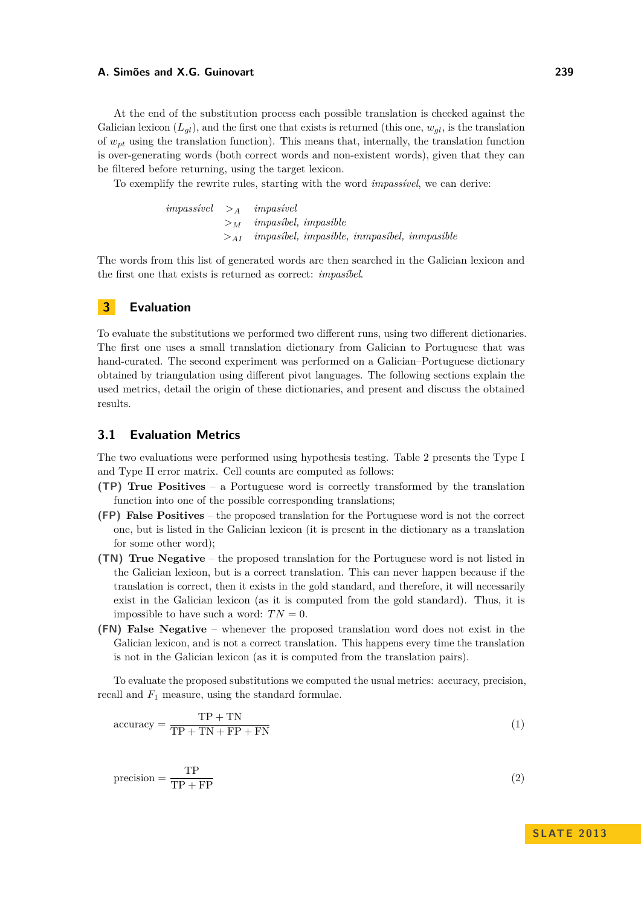At the end of the substitution process each possible translation is checked against the Galician lexicon  $(L_{gl})$ , and the first one that exists is returned (this one,  $w_{gl}$ , is the translation of *wpt* using the translation function). This means that, internally, the translation function is over-generating words (both correct words and non-existent words), given that they can be filtered before returning, using the target lexicon.

To exemplify the rewrite rules, starting with the word *impassível*, we can derive:

*impassível ><sup>A</sup> impasível ><sup>M</sup> impasíbel, impasible >AI impasíbel, impasible, inmpasíbel, inmpasible*

The words from this list of generated words are then searched in the Galician lexicon and the first one that exists is returned as correct: *impasíbel*.

# <span id="page-2-0"></span>**3 Evaluation**

To evaluate the substitutions we performed two different runs, using two different dictionaries. The first one uses a small translation dictionary from Galician to Portuguese that was hand-curated. The second experiment was performed on a Galician–Portuguese dictionary obtained by triangulation using different pivot languages. The following sections explain the used metrics, detail the origin of these dictionaries, and present and discuss the obtained results.

#### **3.1 Evaluation Metrics**

The two evaluations were performed using hypothesis testing. Table [2](#page-4-0) presents the Type I and Type II error matrix. Cell counts are computed as follows:

- **(TP) True Positives** a Portuguese word is correctly transformed by the translation function into one of the possible corresponding translations;
- **(FP) False Positives** the proposed translation for the Portuguese word is not the correct one, but is listed in the Galician lexicon (it is present in the dictionary as a translation for some other word);
- **(TN) True Negative** the proposed translation for the Portuguese word is not listed in the Galician lexicon, but is a correct translation. This can never happen because if the translation is correct, then it exists in the gold standard, and therefore, it will necessarily exist in the Galician lexicon (as it is computed from the gold standard). Thus, it is impossible to have such a word:  $TN = 0$ .
- **(FN) False Negative** whenever the proposed translation word does not exist in the Galician lexicon, and is not a correct translation. This happens every time the translation is not in the Galician lexicon (as it is computed from the translation pairs).

To evaluate the proposed substitutions we computed the usual metrics: accuracy, precision, recall and  $F_1$  measure, using the standard formulae.

$$
accuracy = \frac{TP + TN}{TP + TN + FP + FN}
$$
\n(1)

$$
precision = \frac{TP}{TP + FP}
$$
 (2)

# **S L AT E 2 0 1 3**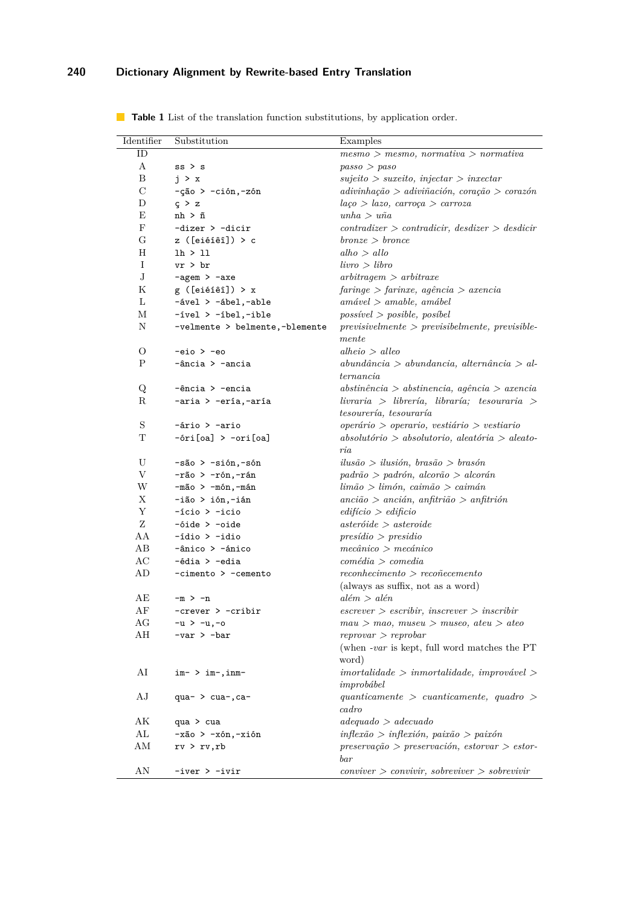# **240 Dictionary Alignment by Rewrite-based Entry Translation**

| Identifier   | Substitution                                      | Examples                                                                          |
|--------------|---------------------------------------------------|-----------------------------------------------------------------------------------|
| ID           |                                                   | $mesmo > mesmo$ , normativa > normativa                                           |
| A            | ss > s                                            | passo > paso                                                                      |
| B            | j > x                                             | $sujeito > suxeito, injectar > inxectar$                                          |
| $\mathcal C$ | -ção > -ción,-zón                                 | $\alpha$ divinhação > adiviñación, coração > corazón                              |
| D            | C > Z                                             | $la \varphi > la zo$ , carroça > carroza                                          |
| Ε            | $nh$ > $ñ$                                        | $unha > u\tilde{n}a$                                                              |
| F            | -dizer > -dicir                                   | $contradizer > contract, desdizer > desdicir$                                     |
| G            | z ([eiéíêî]) > c                                  | brane > bronze                                                                    |
| H            | lh > 11                                           | alho > allo                                                                       |
| $\rm I$      | vr > br                                           | $livro \geq libro$                                                                |
| $_{\rm J}$   | $-$ agem > $-$ axe                                | arbitragen > arbitrage                                                            |
| Κ            | g ([eiéíêî]) > x                                  | faringe > farinxe, agência > axencia                                              |
| L            | $-i$ vel > $-i$ bel, $-i$ ble                     | amável > amable, amábel                                                           |
| М            | $-ivel$ > $-ibel$ , $-ible$                       | possible, posibel                                                                 |
| N            | -velmente > belmente,-blemente                    | $previsible$ > previsibelmente, previsible-<br>mente                              |
| О            | $-eio > -eo$                                      | alheio > alleo                                                                    |
| Ρ            | $-\hat{a}ncia > -ancia$                           | $abundância > abundancia, alternância > al-$<br>ternancia                         |
| Q            | -ência > -encia                                   | $abstin\hat{e}ncia > abstinencia, ag\hat{e}ncia > axencia$                        |
| $\mathbf R$  | -aria > -ería,-aría                               | $livraria > librería, libraría; tesouraria >$<br>tesourería, tesouraría           |
| $\mathbf S$  | -ário > -ario                                     | $operatoro perário > operario, vestiário > vestiario$                             |
| T            | $-\text{óri}[\text{oa}] > -\text{ori}[\text{oa}]$ | $absolute\acute{o}rio > absolute\acute{o}rio, aleat\acute{o}ria > aleato-$<br>ria |
| U            | $-são > -sión, -són$                              | ilusão > ilusión, brasão > brasón                                                 |
| V            | $-r$ ão > $-r$ ón, $-r$ án                        | padrão > padrón, alcorão > alcorán                                                |
| W            | $-m\tilde{a}o > -m\tilde{o}n,$ -mán               | $lim\tilde{a}o$ > $lim\tilde{on}$ , $caim\tilde{a}o$ > $caim\tilde{an}$           |
| Х            | -ião > ión,-ián                                   | $anci\tilde{a}o > anci\tilde{a}n$ , anfitri $\tilde{a}o > anfitri\tilde{o}n$      |
| Υ            | $-$ ício > $-$ icio                               | edifício > edificio                                                               |
| Z            | $\neg$ óide > $\neg$ oide                         | $\alpha$ steróide $\alpha$ asteroide                                              |
| AA           | $-i$ dio > $-i$ dio                               | presídio > presidio                                                               |
| AВ           | $-\hat{a}$ nico > $-\hat{a}$ nico                 | $mec\hat{a}nico > mec\hat{a}nico$                                                 |
| AC           | $-édia > -edia$                                   | comédia > comedia                                                                 |
| AD           | $-cimento$ > $-cemento$                           | $reconhecimento > reco\tilde{n}ecemento$                                          |
|              |                                                   | (always as suffix, not as a word)                                                 |
| AE           | $-m > -n$                                         | $a l \epsilon m > a l \epsilon n$                                                 |
| ΑF           | $-$ crever > $-$ cribir                           | $\mathit{escrever} > \mathit{escribir}, \mathit{inscreen} > \mathit{inscribir}$   |
| AG           | $-u > -u, -o$                                     | $mau > mao$ , $museu > museo$ , $ateu > ateo$                                     |
| AН           | $-var > -bar$                                     | reprovar > reprobar<br>(when $-var$ is kept, full word matches the PT<br>word)    |
| AI           | $im-$ > $im-$ , $im-$                             | $inortalidade > inmortalidade, improvável >$<br>$improb$ ábel                     |
| AJ           | qua- > cua-, ca-                                  | $quanticamente > cuanticamente, quadro >$<br>cadro                                |
| АK           | qua > cua                                         | adequad o > a decuado                                                             |
| $\rm AL$     | $-x$ ão > $-x$ ón, $-x$ ión                       | $\text{inflex}$ ão $>$ inflexión, paixão $>$ paixón                               |
| ΑM           | rv > rv, rb                                       | $preservação > preservación, estorvar > estor-$<br>$_{bar}$                       |
| AN           | $-iver$ > $-ivir$                                 | $conviver > convivir, sobreviver > sobrevivir$                                    |

<span id="page-3-0"></span>**Table 1** List of the translation function substitutions, by application order.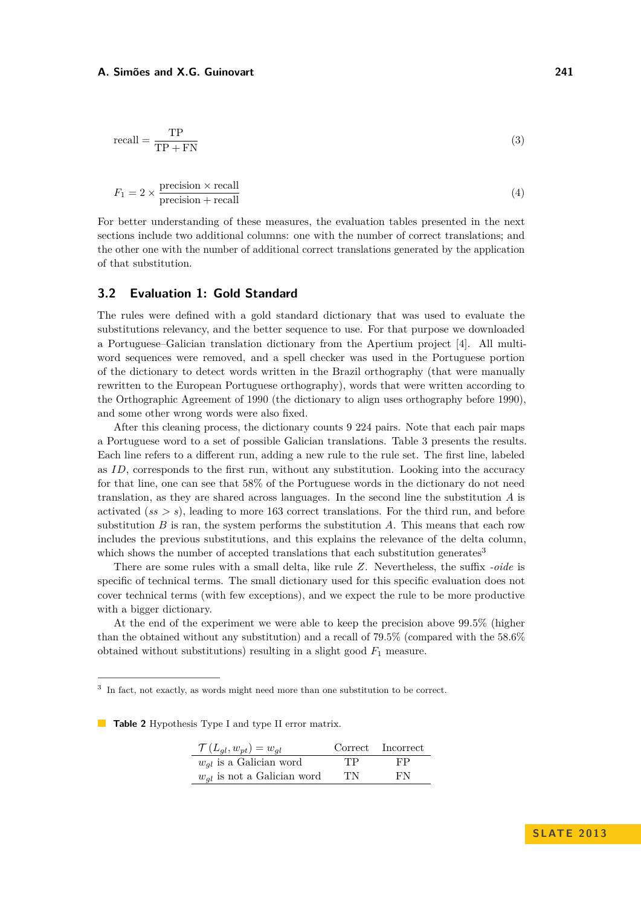$$
\text{recall} = \frac{\text{TP}}{\text{TP} + \text{FN}}\tag{3}
$$

$$
F_1 = 2 \times \frac{\text{precision} \times \text{recall}}{\text{precision} + \text{recall}}
$$
 (4)

For better understanding of these measures, the evaluation tables presented in the next sections include two additional columns: one with the number of correct translations; and the other one with the number of additional correct translations generated by the application of that substitution.

## **3.2 Evaluation 1: Gold Standard**

The rules were defined with a gold standard dictionary that was used to evaluate the substitutions relevancy, and the better sequence to use. For that purpose we downloaded a Portuguese–Galician translation dictionary from the Apertium project [\[4\]](#page-10-7). All multiword sequences were removed, and a spell checker was used in the Portuguese portion of the dictionary to detect words written in the Brazil orthography (that were manually rewritten to the European Portuguese orthography), words that were written according to the Orthographic Agreement of 1990 (the dictionary to align uses orthography before 1990), and some other wrong words were also fixed.

After this cleaning process, the dictionary counts 9 224 pairs. Note that each pair maps a Portuguese word to a set of possible Galician translations. Table [3](#page-5-0) presents the results. Each line refers to a different run, adding a new rule to the rule set. The first line, labeled as *ID*, corresponds to the first run, without any substitution. Looking into the accuracy for that line, one can see that 58% of the Portuguese words in the dictionary do not need translation, as they are shared across languages. In the second line the substitution *A* is activated  $(s \ge s)$ , leading to more 163 correct translations. For the third run, and before substitution *B* is ran, the system performs the substitution *A*. This means that each row includes the previous substitutions, and this explains the relevance of the delta column, which shows the number of accepted translations that each substitution generates<sup>[3](#page-4-1)</sup>

There are some rules with a small delta, like rule *Z*. Nevertheless, the suffix *-oide* is specific of technical terms. The small dictionary used for this specific evaluation does not cover technical terms (with few exceptions), and we expect the rule to be more productive with a bigger dictionary.

At the end of the experiment we were able to keep the precision above 99.5% (higher than the obtained without any substitution) and a recall of 79.5% (compared with the 58.6% obtained without substitutions) resulting in a slight good  $F_1$  measure.

<span id="page-4-0"></span>**Table 2** Hypothesis Type I and type II error matrix.

| $\mathcal{T}(L_{ql}, w_{pt}) = w_{ql}$ |     | Correct Incorrect |
|----------------------------------------|-----|-------------------|
| $w_{al}$ is a Galician word            | TР  | FP                |
| $w_{ql}$ is not a Galician word        | TN. | FN.               |

<span id="page-4-1"></span><sup>&</sup>lt;sup>3</sup> In fact, not exactly, as words might need more than one substitution to be correct.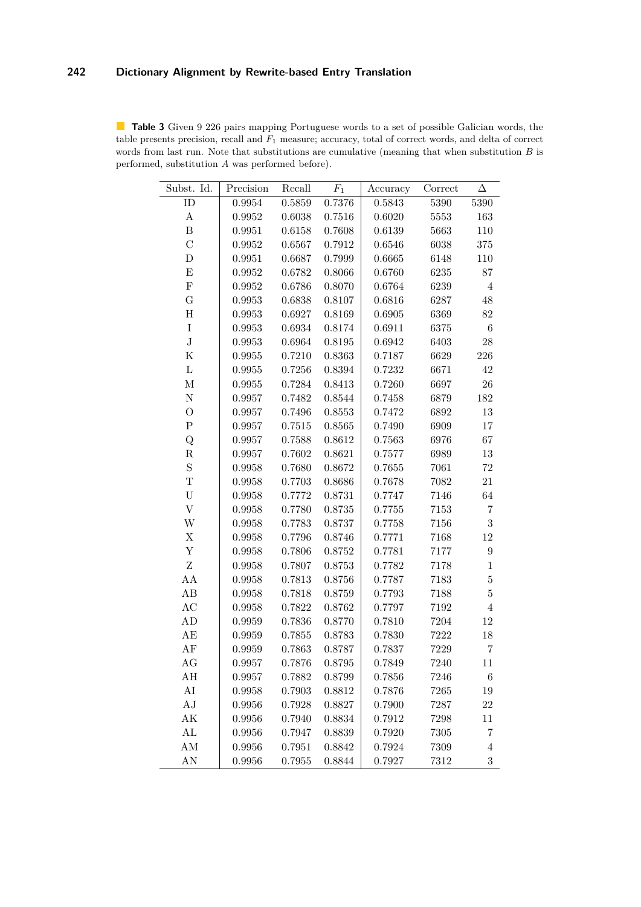<span id="page-5-0"></span>**Table 3** Given 9 226 pairs mapping Portuguese words to a set of possible Galician words, the table presents precision, recall and *F*<sup>1</sup> measure; accuracy, total of correct words, and delta of correct words from last run. Note that substitutions are cumulative (meaning that when substitution *B* is performed, substitution *A* was performed before).

| Subst. Id.                | Precision | Recall     | $F_1$       | Accuracy     | Correct | Δ                 |
|---------------------------|-----------|------------|-------------|--------------|---------|-------------------|
| ID                        | 0.9954    | 0.5859     | 0.7376      | 0.5843       | 5390    | 5390              |
| $\bf{A}$                  | 0.9952    | 0.6038     | 0.7516      | 0.6020       | 5553    | 163               |
| $\, {\bf B}$              | 0.9951    | 0.6158     | 0.7608      | 0.6139       | 5663    | 110               |
| $\overline{C}$            | 0.9952    | $0.6567\,$ | 0.7912      | 0.6546       | 6038    | 375               |
| $\mathbf D$               | 0.9951    | 0.6687     | 0.7999      | 0.6665       | 6148    | 110               |
| ${\bf E}$                 | 0.9952    | 0.6782     | 0.8066      | 0.6760       | 6235    | 87                |
| ${\bf F}$                 | 0.9952    | 0.6786     | 0.8070      | 0.6764       | 6239    | $\overline{4}$    |
| $\mathbf G$               | 0.9953    | 0.6838     | 0.8107      | $\,0.6816\,$ | 6287    | 48                |
| $\boldsymbol{\mathrm{H}}$ | 0.9953    | 0.6927     | 0.8169      | 0.6905       | 6369    | $82\,$            |
| $\bf I$                   | 0.9953    | 0.6934     | 0.8174      | 0.6911       | 6375    | $\,6$             |
| $\bf J$                   | 0.9953    | 0.6964     | 0.8195      | 0.6942       | 6403    | $\ensuremath{28}$ |
| ${\bf K}$                 | 0.9955    | 0.7210     | 0.8363      | 0.7187       | 6629    | 226               |
| $\mathbf{L}$              | 0.9955    | 0.7256     | 0.8394      | 0.7232       | 6671    | 42                |
| $\mathbf M$               | 0.9955    | 0.7284     | 0.8413      | 0.7260       | 6697    | $26\,$            |
| $\rm N$                   | 0.9957    | 0.7482     | 0.8544      | 0.7458       | 6879    | 182               |
| $\mathcal{O}$             | 0.9957    | 0.7496     | 0.8553      | 0.7472       | 6892    | 13                |
| ${\bf P}$                 | 0.9957    | 0.7515     | 0.8565      | 0.7490       | 6909    | $17\,$            |
| Q                         | 0.9957    | 0.7588     | 0.8612      | 0.7563       | 6976    | 67                |
| ${\bf R}$                 | 0.9957    | 0.7602     | 0.8621      | 0.7577       | 6989    | 13                |
| $\mathbf S$               | 0.9958    | 0.7680     | 0.8672      | 0.7655       | 7061    | $72\,$            |
| T                         | 0.9958    | 0.7703     | 0.8686      | 0.7678       | 7082    | $21\,$            |
| $\ensuremath{\mathrm{U}}$ | 0.9958    | 0.7772     | ${ 0.8731}$ | 0.7747       | 7146    | 64                |
| $\ensuremath{\mathbf{V}}$ | 0.9958    | 0.7780     | 0.8735      | 0.7755       | 7153    | $\!\!7$           |
| W                         | 0.9958    | 0.7783     | 0.8737      | 0.7758       | 7156    | 3                 |
| $\mathbf X$               | 0.9958    | 0.7796     | 0.8746      | 0.7771       | 7168    | 12                |
| Y                         | 0.9958    | 0.7806     | 0.8752      | 0.7781       | 7177    | $\boldsymbol{9}$  |
| Z                         | 0.9958    | 0.7807     | 0.8753      | 0.7782       | 7178    | $\mathbf{1}$      |
| AA                        | 0.9958    | 0.7813     | 0.8756      | 0.7787       | 7183    | $\bf 5$           |
| AB                        | 0.9958    | 0.7818     | 0.8759      | 0.7793       | 7188    | $\overline{5}$    |
| AC                        | 0.9958    | 0.7822     | 0.8762      | 0.7797       | 7192    | $\overline{4}$    |
| $\mbox{AD}$               | 0.9959    | 0.7836     | 0.8770      | 0.7810       | 7204    | 12                |
| AE                        | 0.9959    | 0.7855     | 0.8783      | 0.7830       | 7222    | 18                |
| AF                        | 0.9959    | 0.7863     | 0.8787      | 0.7837       | 7229    | $\overline{7}$    |
| AG                        | 0.9957    | 0.7876     | 0.8795      | 0.7849       | 7240    | 11                |
| AН                        | 0.9957    | 0.7882     | 0.8799      | 0.7856       | 7246    | $\,6$             |
| AI                        | 0.9958    | 0.7903     | 0.8812      | 0.7876       | 7265    | 19                |
| AJ                        | 0.9956    | 0.7928     | 0.8827      | 0.7900       | 7287    | 22                |
| АK                        | 0.9956    | 0.7940     | 0.8834      | 0.7912       | 7298    | 11                |
| AL                        | 0.9956    | 0.7947     | 0.8839      | 0.7920       | 7305    | 7                 |
| AM                        | 0.9956    | 0.7951     | 0.8842      | 0.7924       | 7309    | $\overline{4}$    |
| AN                        | 0.9956    | 0.7955     | 0.8844      | 0.7927       | 7312    | $\,3$             |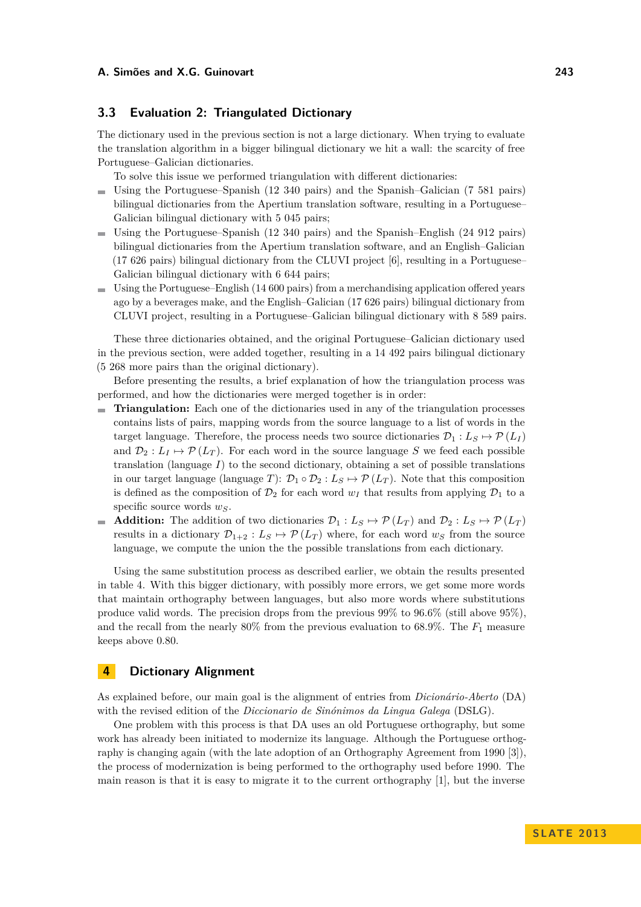### <span id="page-6-1"></span>**3.3 Evaluation 2: Triangulated Dictionary**

The dictionary used in the previous section is not a large dictionary. When trying to evaluate the translation algorithm in a bigger bilingual dictionary we hit a wall: the scarcity of free Portuguese–Galician dictionaries.

To solve this issue we performed triangulation with different dictionaries:

- Using the Portuguese–Spanish (12 340 pairs) and the Spanish–Galician (7 581 pairs)  $\mathbf{r}$ bilingual dictionaries from the Apertium translation software, resulting in a Portuguese– Galician bilingual dictionary with 5 045 pairs;
- Using the Portuguese–Spanish (12 340 pairs) and the Spanish–English (24 912 pairs) bilingual dictionaries from the Apertium translation software, and an English–Galician (17 626 pairs) bilingual dictionary from the CLUVI project [\[6\]](#page-10-8), resulting in a Portuguese– Galician bilingual dictionary with 6 644 pairs;
- Using the Portuguese–English (14 600 pairs) from a merchandising application offered years ago by a beverages make, and the English–Galician (17 626 pairs) bilingual dictionary from CLUVI project, resulting in a Portuguese–Galician bilingual dictionary with 8 589 pairs.

These three dictionaries obtained, and the original Portuguese–Galician dictionary used in the previous section, were added together, resulting in a 14 492 pairs bilingual dictionary (5 268 more pairs than the original dictionary).

Before presenting the results, a brief explanation of how the triangulation process was performed, and how the dictionaries were merged together is in order:

- **Triangulation:** Each one of the dictionaries used in any of the triangulation processes contains lists of pairs, mapping words from the source language to a list of words in the target language. Therefore, the process needs two source dictionaries  $\mathcal{D}_1: L_S \mapsto \mathcal{P}(L_I)$ and  $\mathcal{D}_2: L_I \mapsto \mathcal{P}(L_T)$ . For each word in the source language S we feed each possible translation (language *I*) to the second dictionary, obtaining a set of possible translations in our target language (language *T*):  $\mathcal{D}_1 \circ \mathcal{D}_2 : L_S \mapsto \mathcal{P}(L_T)$ . Note that this composition is defined as the composition of  $\mathcal{D}_2$  for each word  $w_I$  that results from applying  $\mathcal{D}_1$  to a specific source words *wS*.
- **Addition:** The addition of two dictionaries  $\mathcal{D}_1: L_S \mapsto \mathcal{P}(L_T)$  and  $\mathcal{D}_2: L_S \mapsto \mathcal{P}(L_T)$  $\overline{\phantom{a}}$ results in a dictionary  $\mathcal{D}_{1+2}: L_S \mapsto \mathcal{P}(L_T)$  where, for each word  $w_S$  from the source language, we compute the union the the possible translations from each dictionary.

Using the same substitution process as described earlier, we obtain the results presented in table [4.](#page-7-0) With this bigger dictionary, with possibly more errors, we get some more words that maintain orthography between languages, but also more words where substitutions produce valid words. The precision drops from the previous  $99\%$  to  $96.6\%$  (still above  $95\%$ ), and the recall from the nearly 80% from the previous evaluation to 68.9%. The *F*<sup>1</sup> measure keeps above 0.80.

# <span id="page-6-0"></span>**4 Dictionary Alignment**

As explained before, our main goal is the alignment of entries from *Dicionário-Aberto* (DA) with the revised edition of the *Diccionario de Sinónimos da Lingua Galega* (DSLG).

One problem with this process is that DA uses an old Portuguese orthography, but some work has already been initiated to modernize its language. Although the Portuguese orthography is changing again (with the late adoption of an Orthography Agreement from 1990 [\[3\]](#page-10-9)), the process of modernization is being performed to the orthography used before 1990. The main reason is that it is easy to migrate it to the current orthography [\[1\]](#page-10-10), but the inverse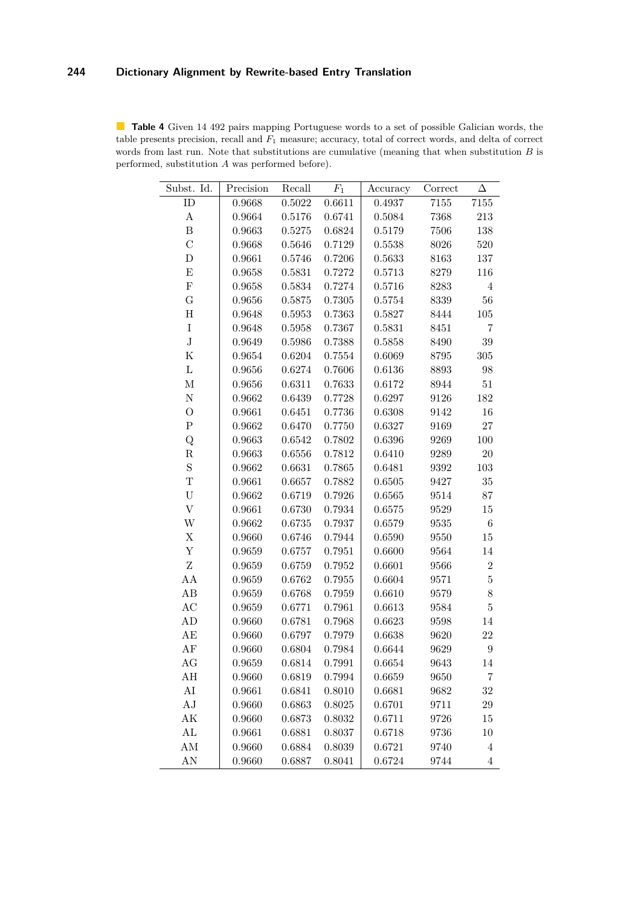<span id="page-7-0"></span>**Table 4** Given 14 492 pairs mapping Portuguese words to a set of possible Galician words, the table presents precision, recall and *F*<sup>1</sup> measure; accuracy, total of correct words, and delta of correct words from last run. Note that substitutions are cumulative (meaning that when substitution *B* is performed, substitution *A* was performed before).

| Subst. Id.                | Precision | Recall     | $F_1$      | Accuracy | Correct | Δ                |
|---------------------------|-----------|------------|------------|----------|---------|------------------|
| ID                        | 0.9668    | 0.5022     | 0.6611     | 0.4937   | 7155    | 7155             |
| A                         | 0.9664    | 0.5176     | 0.6741     | 0.5084   | 7368    | 213              |
| $\boldsymbol{B}$          | 0.9663    | 0.5275     | 0.6824     | 0.5179   | 7506    | 138              |
| $\mathcal{C}$             | 0.9668    | 0.5646     | 0.7129     | 0.5538   | 8026    | 520              |
| $\mathbf D$               | 0.9661    | 0.5746     | 0.7206     | 0.5633   | 8163    | 137              |
| ${\bf E}$                 | 0.9658    | 0.5831     | 0.7272     | 0.5713   | 8279    | 116              |
| ${\bf F}$                 | 0.9658    | 0.5834     | 0.7274     | 0.5716   | 8283    | $\overline{4}$   |
| G                         | 0.9656    | 0.5875     | 0.7305     | 0.5754   | 8339    | 56               |
| $\boldsymbol{\mathrm{H}}$ | 0.9648    | 0.5953     | 0.7363     | 0.5827   | 8444    | 105              |
| $\bf I$                   | 0.9648    | 0.5958     | 0.7367     | 0.5831   | 8451    | $\overline{7}$   |
| $\bf J$                   | 0.9649    | 0.5986     | 0.7388     | 0.5858   | 8490    | 39               |
| ${\bf K}$                 | 0.9654    | 0.6204     | $0.7554\,$ | 0.6069   | 8795    | $305\,$          |
| L                         | 0.9656    | $0.6274\,$ | 0.7606     | 0.6136   | 8893    | 98               |
| $\mathbf M$               | 0.9656    | 0.6311     | 0.7633     | 0.6172   | 8944    | 51               |
| $\rm N$                   | 0.9662    | 0.6439     | 0.7728     | 0.6297   | 9126    | 182              |
| $\mathcal{O}$             | 0.9661    | 0.6451     | 0.7736     | 0.6308   | 9142    | 16               |
| ${\bf P}$                 | 0.9662    | 0.6470     | 0.7750     | 0.6327   | 9169    | 27               |
| Q                         | 0.9663    | $0.6542\,$ | 0.7802     | 0.6396   | 9269    | 100              |
| ${\bf R}$                 | 0.9663    | $0.6556\,$ | 0.7812     | 0.6410   | 9289    | $20\,$           |
| $\mathbf S$               | 0.9662    | 0.6631     | 0.7865     | 0.6481   | 9392    | 103              |
| T                         | 0.9661    | 0.6657     | 0.7882     | 0.6505   | 9427    | $35\,$           |
| U                         | 0.9662    | 0.6719     | 0.7926     | 0.6565   | 9514    | 87               |
| $\ensuremath{\mathbf{V}}$ | 0.9661    | $0.6730\,$ | 0.7934     | 0.6575   | 9529    | 15               |
| W                         | 0.9662    | 0.6735     | 0.7937     | 0.6579   | 9535    | 6                |
| X                         | 0.9660    | 0.6746     | 0.7944     | 0.6590   | 9550    | 15               |
| Y                         | 0.9659    | 0.6757     | 0.7951     | 0.6600   | 9564    | $14\,$           |
| Z                         | 0.9659    | 0.6759     | 0.7952     | 0.6601   | 9566    | $\overline{2}$   |
| AA                        | 0.9659    | 0.6762     | 0.7955     | 0.6604   | 9571    | $5\,$            |
| AB                        | 0.9659    | 0.6768     | 0.7959     | 0.6610   | 9579    | $8\,$            |
| AC                        | 0.9659    | 0.6771     | 0.7961     | 0.6613   | 9584    | $\bf 5$          |
| AD                        | 0.9660    | 0.6781     | 0.7968     | 0.6623   | 9598    | $14\,$           |
| AE                        | 0.9660    | 0.6797     | 0.7979     | 0.6638   | 9620    | 22               |
| AF                        | 0.9660    | 0.6804     | 0.7984     | 0.6644   | 9629    | $\boldsymbol{9}$ |
| AG                        | 0.9659    | 0.6814     | 0.7991     | 0.6654   | 9643    | 14               |
| AН                        | 0.9660    | 0.6819     | 0.7994     | 0.6659   | 9650    | 7                |
| AI                        | 0.9661    | 0.6841     | 0.8010     | 0.6681   | 9682    | 32               |
| AJ                        | 0.9660    | 0.6863     | 0.8025     | 0.6701   | 9711    | $\,29$           |
| АK                        | 0.9660    | 0.6873     | 0.8032     | 0.6711   | 9726    | 15               |
| AL                        | 0.9661    | 0.6881     | 0.8037     | 0.6718   | 9736    | 10               |
| AM                        | 0.9660    | 0.6884     | 0.8039     | 0.6721   | 9740    | 4                |
| AN                        | 0.9660    | 0.6887     | 0.8041     | 0.6724   | 9744    | 4                |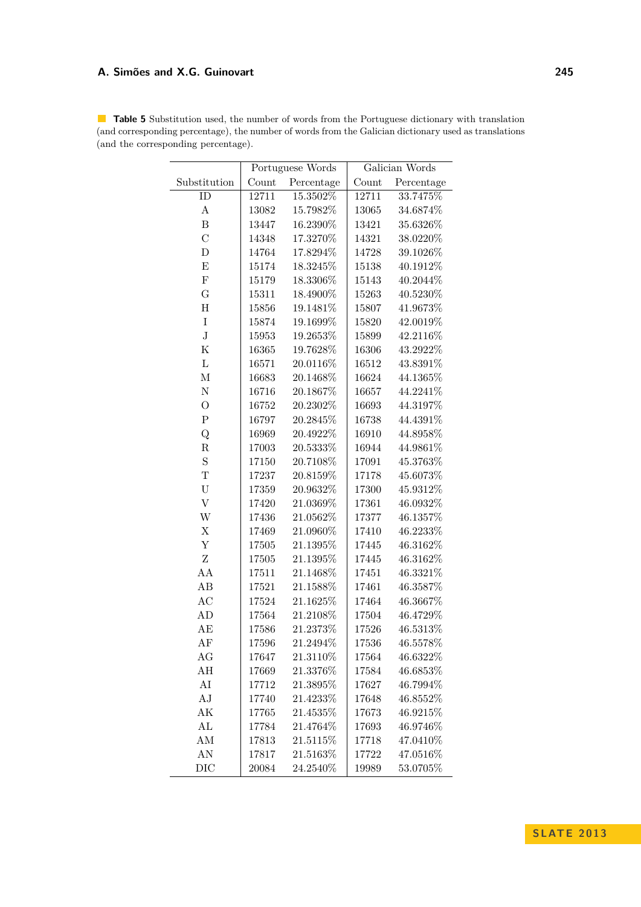|                  | Portuguese Words |             | Galician Words |            |  |
|------------------|------------------|-------------|----------------|------------|--|
| Substitution     | Count            | Percentage  | Count          | Percentage |  |
| ID               | 12711            | $15.3502\%$ | 12711          | 33.7475%   |  |
| $\boldsymbol{A}$ | 13082            | 15.7982%    | 13065          | 34.6874%   |  |
| $\boldsymbol{B}$ | 13447            | 16.2390%    | 13421          | 35.6326%   |  |
| $\overline{C}$   | 14348            | 17.3270%    | 14321          | 38.0220%   |  |
| $\mathbf D$      | 14764            | 17.8294%    | 14728          | 39.1026%   |  |
| E                | 15174            | 18.3245%    | 15138          | 40.1912%   |  |
| $\overline{F}$   | 15179            | 18.3306%    | 15143          | 40.2044%   |  |
| G                | 15311            | 18.4900%    | 15263          | 40.5230%   |  |
| H                | 15856            | 19.1481%    | 15807          | 41.9673%   |  |
| $\mathbf I$      | 15874            | 19.1699%    | 15820          | 42.0019%   |  |
| $\mathbf J$      | 15953            | 19.2653%    | 15899          | 42.2116%   |  |
| $\mathbf K$      | 16365            | 19.7628%    | 16306          | 43.2922%   |  |
| $\Gamma$         | 16571            | 20.0116%    | 16512          | 43.8391%   |  |
| $\mathbf{M}$     | 16683            | 20.1468%    | 16624          | 44.1365%   |  |
| $\overline{N}$   | 16716            | 20.1867%    | 16657          | 44.2241%   |  |
| $\overline{O}$   | 16752            | 20.2302%    | 16693          | 44.3197%   |  |
| $\mathbf P$      | 16797            | 20.2845%    | 16738          | 44.4391%   |  |
| Q                | 16969            | 20.4922%    | 16910          | 44.8958%   |  |
| $\mathbf R$      | 17003            | 20.5333%    | 16944          | 44.9861%   |  |
| S                | 17150            | 20.7108%    | 17091          | 45.3763%   |  |
| $\overline{T}$   | 17237            | 20.8159%    | 17178          | 45.6073%   |  |
| $\mathbf U$      | 17359            | 20.9632%    | 17300          | 45.9312%   |  |
| $\bar{V}$        | 17420            | 21.0369%    | 17361          | 46.0932%   |  |
| W                | 17436            | 21.0562%    | 17377          | 46.1357%   |  |
| $\mathbf X$      | 17469            | 21.0960%    | 17410          | 46.2233%   |  |
| Y                | 17505            | 21.1395%    | 17445          | 46.3162%   |  |
| $\mathbf{Z}$     | 17505            | 21.1395%    | 17445          | 46.3162%   |  |
| AA               | 17511            | 21.1468%    | 17451          | 46.3321%   |  |
| AB               | 17521            | 21.1588%    | 17461          | 46.3587%   |  |
| AC               | 17524            | 21.1625%    | 17464          | 46.3667%   |  |
| AD               | 17564            | 21.2108%    | 17504          | 46.4729%   |  |
| AE               | 17586            | 21.2373%    | 17526          | 46.5313%   |  |
| ΑF               | 17596            | 21.2494%    | 17536          | 46.5578%   |  |
| AG               | 17647            | 21.3110%    | 17564          | 46.6322%   |  |
| AH               | 17669            | 21.3376%    | 17584          | 46.6853%   |  |
| AI               | 17712            | 21.3895%    | 17627          | 46.7994%   |  |
| AJ               | 17740            | 21.4233%    | 17648          | 46.8552%   |  |
| AK               | 17765            | 21.4535%    | 17673          | 46.9215%   |  |
| AL               | 17784            | 21.4764%    | 17693          | 46.9746\%  |  |
| AM               | 17813            | 21.5115%    | 17718          | 47.0410%   |  |
| AN               | 17817            | 21.5163%    | 17722          | 47.0516\%  |  |
| $_{\rm DIC}$     | 20084            | 24.2540%    | 19989          | 53.0705%   |  |
|                  |                  |             |                |            |  |

<span id="page-8-0"></span>**Table 5** Substitution used, the number of words from the Portuguese dictionary with translation (and corresponding percentage), the number of words from the Galician dictionary used as translations (and the corresponding percentage).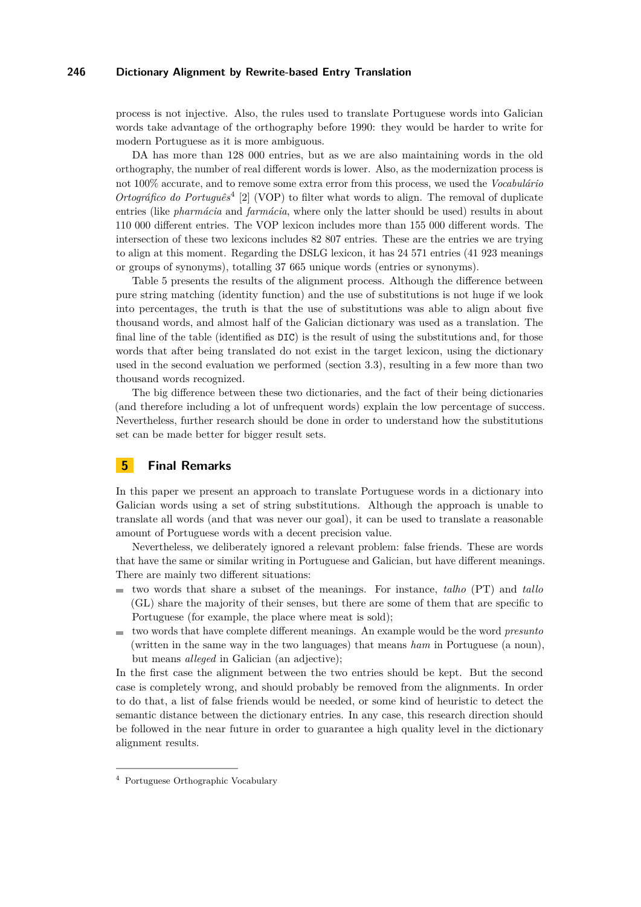#### **246 Dictionary Alignment by Rewrite-based Entry Translation**

process is not injective. Also, the rules used to translate Portuguese words into Galician words take advantage of the orthography before 1990: they would be harder to write for modern Portuguese as it is more ambiguous.

DA has more than 128 000 entries, but as we are also maintaining words in the old orthography, the number of real different words is lower. Also, as the modernization process is not 100% accurate, and to remove some extra error from this process, we used the *Vocabulário Ortográfico do Português*[4](#page-9-0) [\[2\]](#page-10-11) (VOP) to filter what words to align. The removal of duplicate entries (like *pharmácia* and *farmácia*, where only the latter should be used) results in about 110 000 different entries. The VOP lexicon includes more than 155 000 different words. The intersection of these two lexicons includes 82 807 entries. These are the entries we are trying to align at this moment. Regarding the DSLG lexicon, it has 24 571 entries (41 923 meanings or groups of synonyms), totalling 37 665 unique words (entries or synonyms).

Table [5](#page-8-0) presents the results of the alignment process. Although the difference between pure string matching (identity function) and the use of substitutions is not huge if we look into percentages, the truth is that the use of substitutions was able to align about five thousand words, and almost half of the Galician dictionary was used as a translation. The final line of the table (identified as DIC) is the result of using the substitutions and, for those words that after being translated do not exist in the target lexicon, using the dictionary used in the second evaluation we performed (section [3.3\)](#page-6-1), resulting in a few more than two thousand words recognized.

The big difference between these two dictionaries, and the fact of their being dictionaries (and therefore including a lot of unfrequent words) explain the low percentage of success. Nevertheless, further research should be done in order to understand how the substitutions set can be made better for bigger result sets.

# **5 Final Remarks**

In this paper we present an approach to translate Portuguese words in a dictionary into Galician words using a set of string substitutions. Although the approach is unable to translate all words (and that was never our goal), it can be used to translate a reasonable amount of Portuguese words with a decent precision value.

Nevertheless, we deliberately ignored a relevant problem: false friends. These are words that have the same or similar writing in Portuguese and Galician, but have different meanings. There are mainly two different situations:

- two words that share a subset of the meanings. For instance, *talho* (PT) and *tallo* (GL) share the majority of their senses, but there are some of them that are specific to Portuguese (for example, the place where meat is sold);
- two words that have complete different meanings. An example would be the word *presunto* (written in the same way in the two languages) that means *ham* in Portuguese (a noun), but means *alleged* in Galician (an adjective);

In the first case the alignment between the two entries should be kept. But the second case is completely wrong, and should probably be removed from the alignments. In order to do that, a list of false friends would be needed, or some kind of heuristic to detect the semantic distance between the dictionary entries. In any case, this research direction should be followed in the near future in order to guarantee a high quality level in the dictionary alignment results.

<span id="page-9-0"></span><sup>4</sup> Portuguese Orthographic Vocabulary